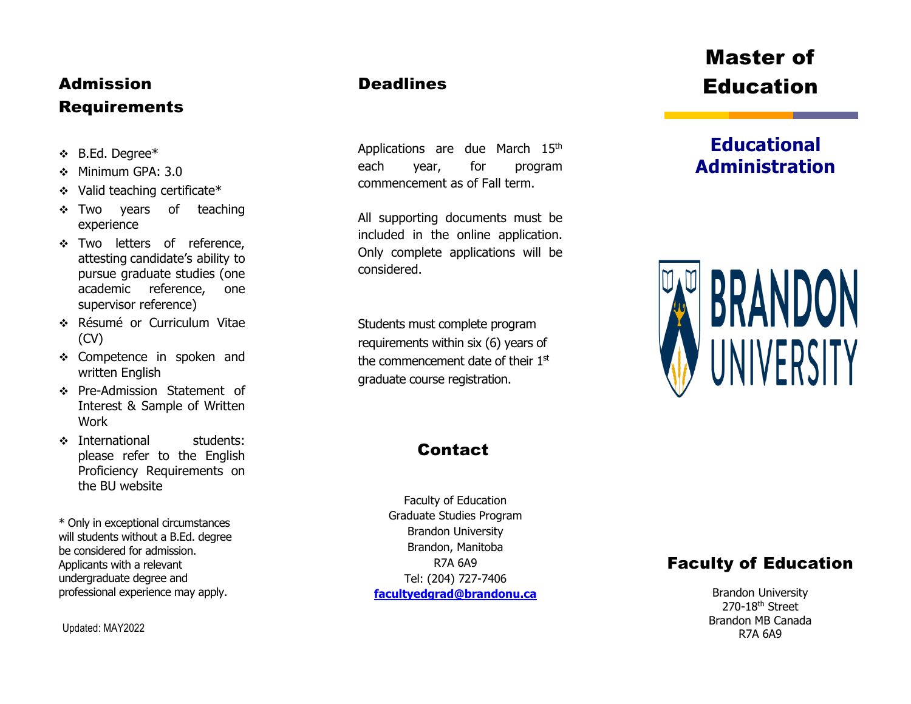## Admission Requirements

- B.Ed. Degree\*
- Minimum GPA: 3.0
- Valid teaching certificate\*
- \* Two years of teaching experience
- \* Two letters of reference, attesting candidate's ability to pursue graduate studies (one academic reference, one supervisor reference)
- Résumé or Curriculum Vitae (CV)
- \* Competence in spoken and written English
- Pre -Admission Statement of Interest & Sample of Written Work
- **Example 12** international students: please refer to the English Proficiency Requirements on the BU website

\* Only in exceptional circumstances will students without a B.Ed. degree be considered for admission. Applicants with a relevant undergraduate degree and professional experience may apply.

Updated: MAY2022

### **Deadlines**

Applications are due March 15<sup>th</sup> each year, for program commencement as of Fall term.

All supporting documents must be included in the online application. Only complete applications will be considered.

Students must complete program requirements within six (6) years of the commencement date of their 1st graduate course registration.

### **Contact**

Faculty of Education Graduate Studies Program Brandon University Brandon, Manitoba R7A 6A9 Tel: (204) 727 - 7406 **[facultyedgrad@brandonu.ca](mailto:facultyedgrad@brandonu.ca)**

# Master of Education

## **Educational Administration**



### Faculty of Education

Brandon University 270-18<sup>th</sup> Street Brandon MB Canada R7A 6A9